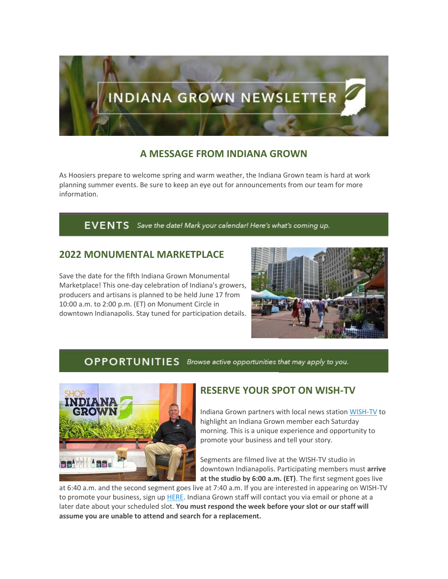

## **A MESSAGE FROM INDIANA GROWN**

As Hoosiers prepare to welcome spring and warm weather, the Indiana Grown team is hard at work planning summer events. Be sure to keep an eye out for announcements from our team for more information.

#### EVENTS Save the date! Mark your calendar! Here's what's coming up.

## **2022 MONUMENTAL MARKETPLACE**

Save the date for the fifth Indiana Grown Monumental Marketplace! This one-day celebration of Indiana's growers, producers and artisans is planned to be held June 17 from 10:00 a.m. to 2:00 p.m. (ET) on Monument Circle in downtown Indianapolis. Stay tuned for participation details.



#### OPPORTUNITIES Browse active opportunities that may apply to you.



## **RESERVE YOUR SPOT ON WISH-TV**

Indiana Grown partners with local news station [WISH-TV](https://lnks.gd/l/eyJhbGciOiJIUzI1NiJ9.eyJidWxsZXRpbl9saW5rX2lkIjoxMDAsInVyaSI6ImJwMjpjbGljayIsImJ1bGxldGluX2lkIjoiMjAyMjAzMTAuNTQ3MjI5MzEiLCJ1cmwiOiJodHRwczovL2xua3MuZ2QvbC9leUpoYkdjaU9pSklVekkxTmlKOS5leUppZFd4c1pYUnBibDlzYVc1clgybGtJam94TURRc0luVnlhU0k2SW1Kd01qcGpiR2xqYXlJc0ltSjFiR3hsZEdsdVgybGtJam9pTWpBeU1UQTRNRFl1TkRReU1qSTBOekVpTENKMWNtd2lPaUpvZEhSd2N6b3ZMM2QzZHk1M2FYTm9kSFl1WTI5dEx5SjkuRjBzbDJDVGRVcXBaZW1tcVNMVG1lcmJ2b0hlOEIzYy0zUUptMEh4dzdRQS9zLzE0NzYxODY0OTgvYnIvMTEwNTIwMzc5OTIwLWwifQ.KRf0-__ZjQhC-PPkG66G4vwu3lp65OYTvG5BPT2dMUs/s/670599506/br/127931644336-l) to highlight an Indiana Grown member each Saturday morning. This is a unique experience and opportunity to promote your business and tell your story.

Segments are filmed live at the WISH-TV studio in downtown Indianapolis. Participating members must **arrive at the studio by 6:00 a.m. (ET)**. The first segment goes live

at 6:40 a.m. and the second segment goes live at 7:40 a.m. If you are interested in appearing on WISH-TV to promote your business, sign up [HERE.](https://lnks.gd/l/eyJhbGciOiJIUzI1NiJ9.eyJidWxsZXRpbl9saW5rX2lkIjoxMDEsInVyaSI6ImJwMjpjbGljayIsImJ1bGxldGluX2lkIjoiMjAyMjAzMTAuNTQ3MjI5MzEiLCJ1cmwiOiJodHRwczovL3d3dy5zaWdudXBnZW5pdXMuY29tL2dvLzkwNDBlNGJhY2E3MjhhYWZkMC0yMDIyIn0.wDYbJKum7FJfhxlpeWktsqSQ5O1JFnfu3hMtB8sQ2v0/s/670599506/br/127931644336-l) Indiana Grown staff will contact you via email or phone at a later date about your scheduled slot. **You must respond the week before your slot or our staff will assume you are unable to attend and search for a replacement.**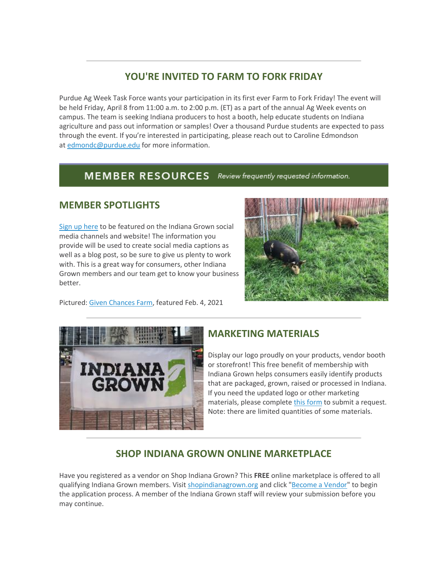# **YOU'RE INVITED TO FARM TO FORK FRIDAY**

Purdue Ag Week Task Force wants your participation in its first ever Farm to Fork Friday! The event will be held Friday, April 8 from 11:00 a.m. to 2:00 p.m. (ET) as a part of the annual Ag Week events on campus. The team is seeking Indiana producers to host a booth, help educate students on Indiana agriculture and pass out information or samples! Over a thousand Purdue students are expected to pass through the event. If you're interested in participating, please reach out to Caroline Edmondson at [edmondc@purdue.edu](mailto:edmondc@purdue.edu) for more information.

#### **MEMBER RESOURCES** Review frequently requested information.

## **MEMBER SPOTLIGHTS**

[Sign up here](https://lnks.gd/l/eyJhbGciOiJIUzI1NiJ9.eyJidWxsZXRpbl9saW5rX2lkIjoxMDIsInVyaSI6ImJwMjpjbGljayIsImJ1bGxldGluX2lkIjoiMjAyMjAzMTAuNTQ3MjI5MzEiLCJ1cmwiOiJodHRwczovL2RvY3MuZ29vZ2xlLmNvbS9mb3Jtcy9kL2UvMUZBSXBRTFNmOS1QR3k5bGszUkdicG9QdGFnZG5ocG45dUtNYUdhUXBNT3Zjako3SGUtX2t6d1Evdmlld2Zvcm0_dXNwPXNmX2xpbmsifQ.e87VpwV5hdhJNxE4qhHm6p-Qvs9KXNo-BNZepEdg_5I/s/670599506/br/127931644336-l) to be featured on the Indiana Grown social media channels and website! The information you provide will be used to create social media captions as well as a blog post, so be sure to give us plenty to work with. This is a great way for consumers, other Indiana Grown members and our team get to know your business better.



Pictured: [Given Chances Farm,](https://lnks.gd/l/eyJhbGciOiJIUzI1NiJ9.eyJidWxsZXRpbl9saW5rX2lkIjoxMDMsInVyaSI6ImJwMjpjbGljayIsImJ1bGxldGluX2lkIjoiMjAyMjAzMTAuNTQ3MjI5MzEiLCJ1cmwiOiJodHRwczovL2dpdmVuY2hhbmNlc2Zhcm1sbGMuY29tLyJ9.kjbImKOR9inWOOn5rVfPX8DrMoeP9lSm_TJn63Z6eg4/s/670599506/br/127931644336-l) featured Feb. 4, 2021



# **MARKETING MATERIALS**

Display our logo proudly on your products, vendor booth or storefront! This free benefit of membership with Indiana Grown helps consumers easily identify products that are packaged, grown, raised or processed in Indiana. If you need the updated logo or other marketing materials, please complete [this form](https://lnks.gd/l/eyJhbGciOiJIUzI1NiJ9.eyJidWxsZXRpbl9saW5rX2lkIjoxMDQsInVyaSI6ImJwMjpjbGljayIsImJ1bGxldGluX2lkIjoiMjAyMjAzMTAuNTQ3MjI5MzEiLCJ1cmwiOiJodHRwczovL2RvY3MuZ29vZ2xlLmNvbS9mb3Jtcy9kL2UvMUZBSXBRTFNmN01BNjdVLWlWY3p4ZkxDMnhZbUhOVHk1RzljT3FYZnZMSE1SZ081SUJkd0EyS1Evdmlld2Zvcm0ifQ.0JCy8m8CHvZ8cWdWjP2GjHfHVMPThDqMxlHQPYyB5sY/s/670599506/br/127931644336-l) to submit a request. Note: there are limited quantities of some materials.

# **SHOP INDIANA GROWN ONLINE MARKETPLACE**

Have you registered as a vendor on Shop Indiana Grown? This **FREE** online marketplace is offered to all qualifying Indiana Grown members. Visi[t shopindianagrown.org](https://lnks.gd/l/eyJhbGciOiJIUzI1NiJ9.eyJidWxsZXRpbl9saW5rX2lkIjoxMDUsInVyaSI6ImJwMjpjbGljayIsImJ1bGxldGluX2lkIjoiMjAyMjAzMTAuNTQ3MjI5MzEiLCJ1cmwiOiJodHRwczovL3Byb3RlY3QyLmZpcmVleWUuY29tL3YxL3VybD9rPTExZTk0NmFlLTRlNzI3ZmU1LTExZWQwZmFlLTg2N2M2YjA3MWM2Zi00MmFlOGU2ZmIyODYzNTkyJnE9MSZlPTM4Y2VmOGYyLWYyZGYtNGM2Ni04YzU2LWE2YmQ3ODQwMDdhYyZ1PWh0dHAlM0ElMkYlMkZ3d3cuc2hvcGluZGlhbmFncm93bi5vcmclMkYifQ.1DRZwa4eANS8yjrHtGuyvWH78zQ_oL7eEne2geHflJo/s/670599506/br/127931644336-l) and click ["Become a Vendor"](https://lnks.gd/l/eyJhbGciOiJIUzI1NiJ9.eyJidWxsZXRpbl9saW5rX2lkIjoxMDYsInVyaSI6ImJwMjpjbGljayIsImJ1bGxldGluX2lkIjoiMjAyMjAzMTAuNTQ3MjI5MzEiLCJ1cmwiOiJodHRwczovL3Nob3BpbmRpYW5hZ3Jvd24ub3JnL2JlY29tZS1hLXZlbmRvci8ifQ.AFoNz7yhbKVvpBb0fIitjMsXY6VL2n8cLYtdKhpUjYg/s/670599506/br/127931644336-l) to begin the application process. A member of the Indiana Grown staff will review your submission before you may continue.